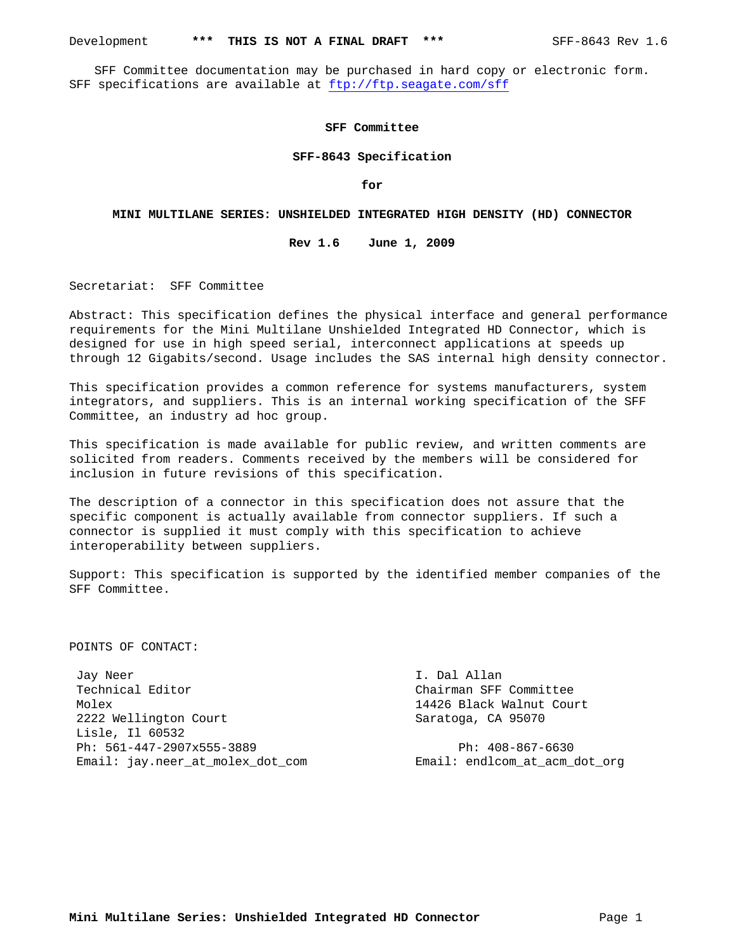SFF Committee documentation may be purchased in hard copy or electronic form. SFF specifications are available at ftp://ftp.seagate.com/sff

### **SFF Committee**

#### **SFF-8643 Specification**

**for**

#### **MINI MULTILANE SERIES: UNSHIELDED INTEGRATED HIGH DENSITY (HD) CONNECTOR**

### **Rev 1.6 June 1, 2009**

Secretariat: SFF Committee

Abstract: This specification defines the physical interface and general performance requirements for the Mini Multilane Unshielded Integrated HD Connector, which is designed for use in high speed serial, interconnect applications at speeds up through 12 Gigabits/second. Usage includes the SAS internal high density connector.

This specification provides a common reference for systems manufacturers, system integrators, and suppliers. This is an internal working specification of the SFF Committee, an industry ad hoc group.

This specification is made available for public review, and written comments are solicited from readers. Comments received by the members will be considered for inclusion in future revisions of this specification.

The description of a connector in this specification does not assure that the specific component is actually available from connector suppliers. If such a connector is supplied it must comply with this specification to achieve interoperability between suppliers.

Support: This specification is supported by the identified member companies of the SFF Committee.

POINTS OF CONTACT:

 Jay Neer I. Dal Allan Technical Editor **Chairman SFF Committee**  Molex 14426 Black Walnut Court 2222 Wellington Court Saratoga, CA 95070 Lisle, Il 60532 Ph: 561-447-2907x555-3889 Ph: 408-867-6630 Email: jay.neer\_at\_molex\_dot\_com Email: endlcom\_at\_acm\_dot\_org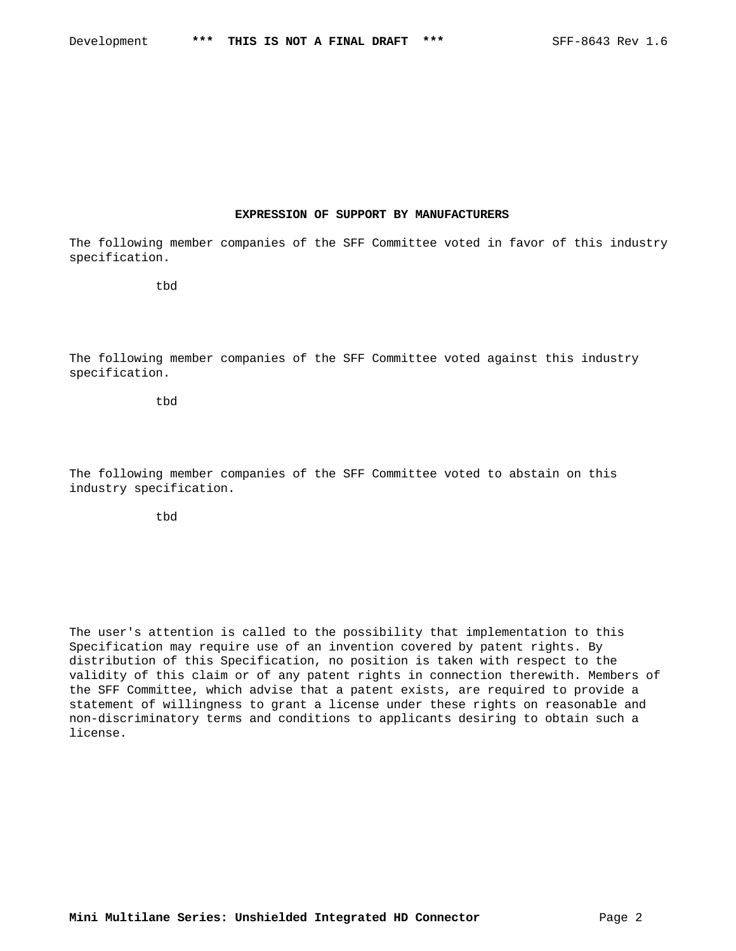#### **EXPRESSION OF SUPPORT BY MANUFACTURERS**

The following member companies of the SFF Committee voted in favor of this industry specification.

tbd

The following member companies of the SFF Committee voted against this industry specification.

tbd

The following member companies of the SFF Committee voted to abstain on this industry specification.

tbd

The user's attention is called to the possibility that implementation to this Specification may require use of an invention covered by patent rights. By distribution of this Specification, no position is taken with respect to the validity of this claim or of any patent rights in connection therewith. Members of the SFF Committee, which advise that a patent exists, are required to provide a statement of willingness to grant a license under these rights on reasonable and non-discriminatory terms and conditions to applicants desiring to obtain such a license.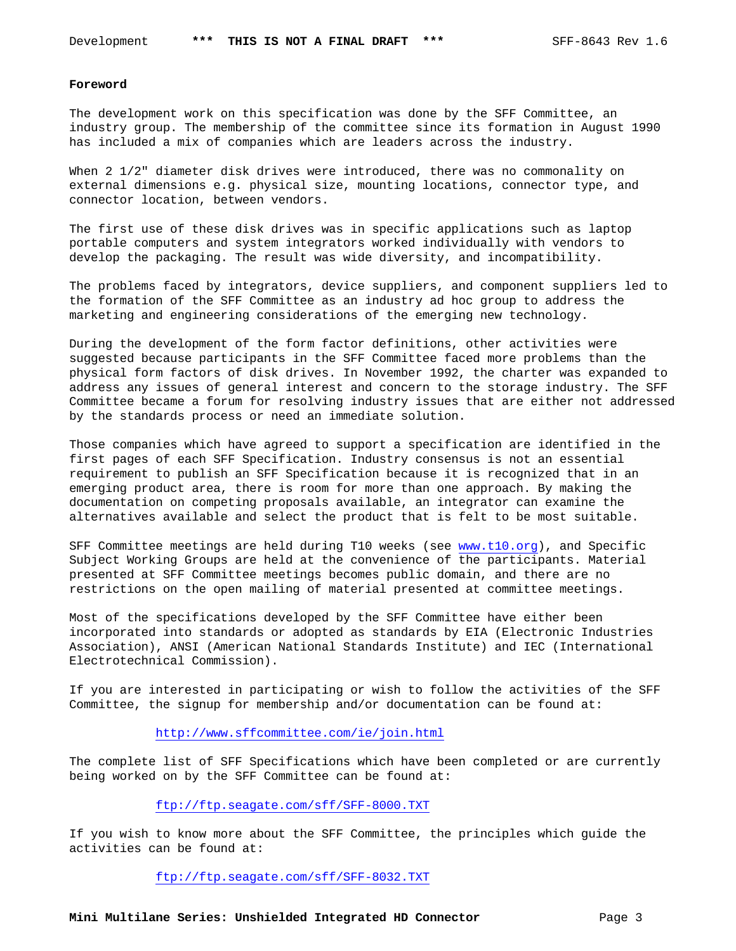#### **Foreword**

The development work on this specification was done by the SFF Committee, an industry group. The membership of the committee since its formation in August 1990 has included a mix of companies which are leaders across the industry.

When 2 1/2" diameter disk drives were introduced, there was no commonality on external dimensions e.g. physical size, mounting locations, connector type, and connector location, between vendors.

The first use of these disk drives was in specific applications such as laptop portable computers and system integrators worked individually with vendors to develop the packaging. The result was wide diversity, and incompatibility.

The problems faced by integrators, device suppliers, and component suppliers led to the formation of the SFF Committee as an industry ad hoc group to address the marketing and engineering considerations of the emerging new technology.

During the development of the form factor definitions, other activities were suggested because participants in the SFF Committee faced more problems than the physical form factors of disk drives. In November 1992, the charter was expanded to address any issues of general interest and concern to the storage industry. The SFF Committee became a forum for resolving industry issues that are either not addressed by the standards process or need an immediate solution.

Those companies which have agreed to support a specification are identified in the first pages of each SFF Specification. Industry consensus is not an essential requirement to publish an SFF Specification because it is recognized that in an emerging product area, there is room for more than one approach. By making the documentation on competing proposals available, an integrator can examine the alternatives available and select the product that is felt to be most suitable.

SFF Committee meetings are held during T10 weeks (see www.t10.org), and Specific Subject Working Groups are held at the convenience of the participants. Material presented at SFF Committee meetings becomes public domain, and there are no restrictions on the open mailing of material presented at committee meetings.

Most of the specifications developed by the SFF Committee have either been incorporated into standards or adopted as standards by EIA (Electronic Industries Association), ANSI (American National Standards Institute) and IEC (International Electrotechnical Commission).

If you are interested in participating or wish to follow the activities of the SFF Committee, the signup for membership and/or documentation can be found at:

## http://www.sffcommittee.com/ie/join.html

The complete list of SFF Specifications which have been completed or are currently being worked on by the SFF Committee can be found at:

## ftp://ftp.seagate.com/sff/SFF-8000.TXT

If you wish to know more about the SFF Committee, the principles which guide the activities can be found at:

ftp://ftp.seagate.com/sff/SFF-8032.TXT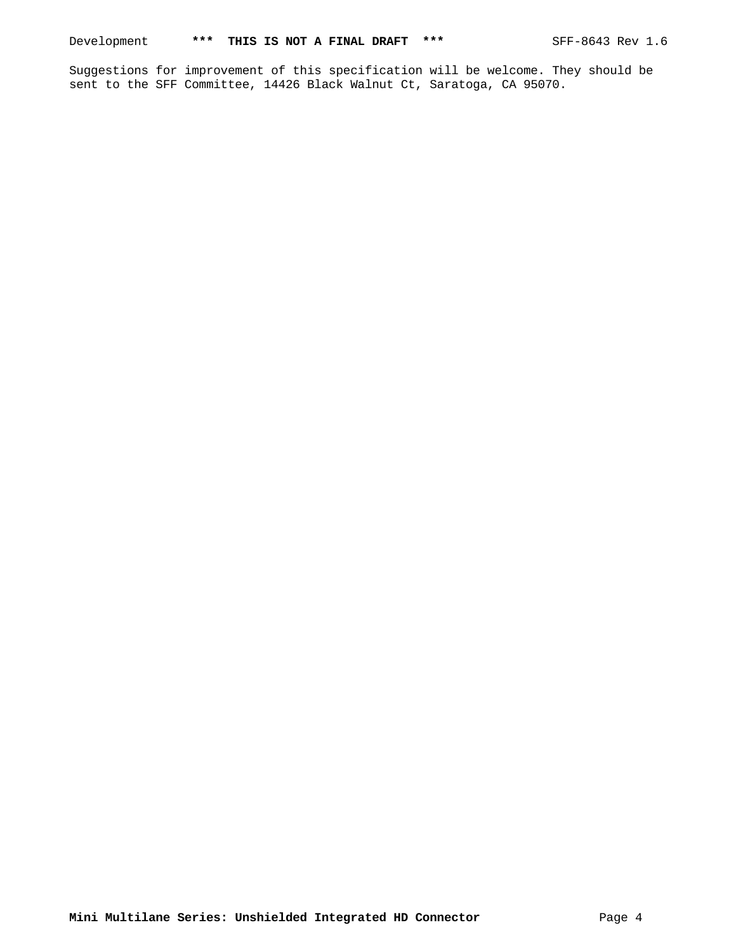Suggestions for improvement of this specification will be welcome. They should be sent to the SFF Committee, 14426 Black Walnut Ct, Saratoga, CA 95070.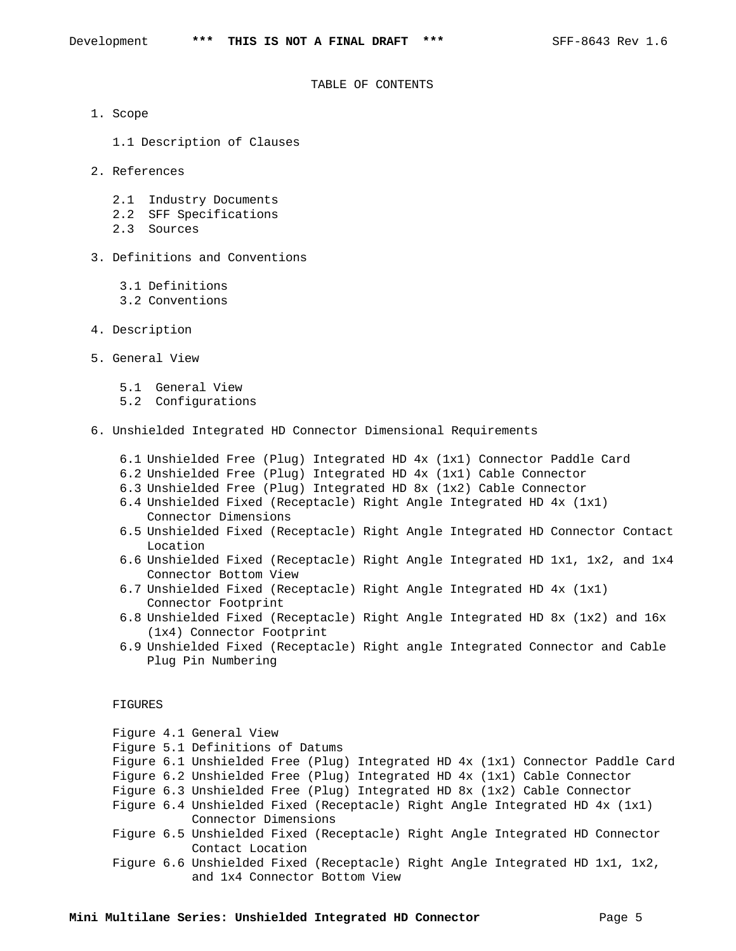#### TABLE OF CONTENTS

- 1. Scope
	- 1.1 Description of Clauses
- 2. References
	- 2.1 Industry Documents
	- 2.2 SFF Specifications
	- 2.3 Sources
- 3. Definitions and Conventions
	- 3.1 Definitions
	- 3.2 Conventions
- 4. Description
- 5. General View
	- 5.1 General View
	- 5.2 Configurations
- 6. Unshielded Integrated HD Connector Dimensional Requirements
	- 6.1 Unshielded Free (Plug) Integrated HD 4x (1x1) Connector Paddle Card
	- 6.2 Unshielded Free (Plug) Integrated HD 4x (1x1) Cable Connector
	- 6.3 Unshielded Free (Plug) Integrated HD 8x (1x2) Cable Connector
	- 6.4 Unshielded Fixed (Receptacle) Right Angle Integrated HD 4x (1x1) Connector Dimensions
	- 6.5 Unshielded Fixed (Receptacle) Right Angle Integrated HD Connector Contact Location
	- 6.6 Unshielded Fixed (Receptacle) Right Angle Integrated HD 1x1, 1x2, and 1x4 Connector Bottom View
	- 6.7 Unshielded Fixed (Receptacle) Right Angle Integrated HD 4x (1x1) Connector Footprint
	- 6.8 Unshielded Fixed (Receptacle) Right Angle Integrated HD 8x (1x2) and 16x (1x4) Connector Footprint
	- 6.9 Unshielded Fixed (Receptacle) Right angle Integrated Connector and Cable Plug Pin Numbering

### FIGURES

|  | Figure 4.1 General View                                                        |
|--|--------------------------------------------------------------------------------|
|  | Figure 5.1 Definitions of Datums                                               |
|  | Figure 6.1 Unshielded Free (Plug) Integrated HD 4x (1x1) Connector Paddle Card |
|  | Figure 6.2 Unshielded Free (Plug) Integrated HD 4x (1x1) Cable Connector       |
|  | Figure 6.3 Unshielded Free (Plug) Integrated HD 8x (1x2) Cable Connector       |
|  | Figure 6.4 Unshielded Fixed (Receptacle) Right Angle Integrated HD 4x (1x1)    |
|  | Connector Dimensions                                                           |
|  | Figure 6.5 Unshielded Fixed (Receptacle) Right Angle Integrated HD Connector   |
|  | Contact Location                                                               |
|  | Figure 6.6 Unshielded Fixed (Receptacle) Right Angle Integrated HD 1x1, 1x2,   |
|  | and 1x4 Connector Bottom View                                                  |
|  |                                                                                |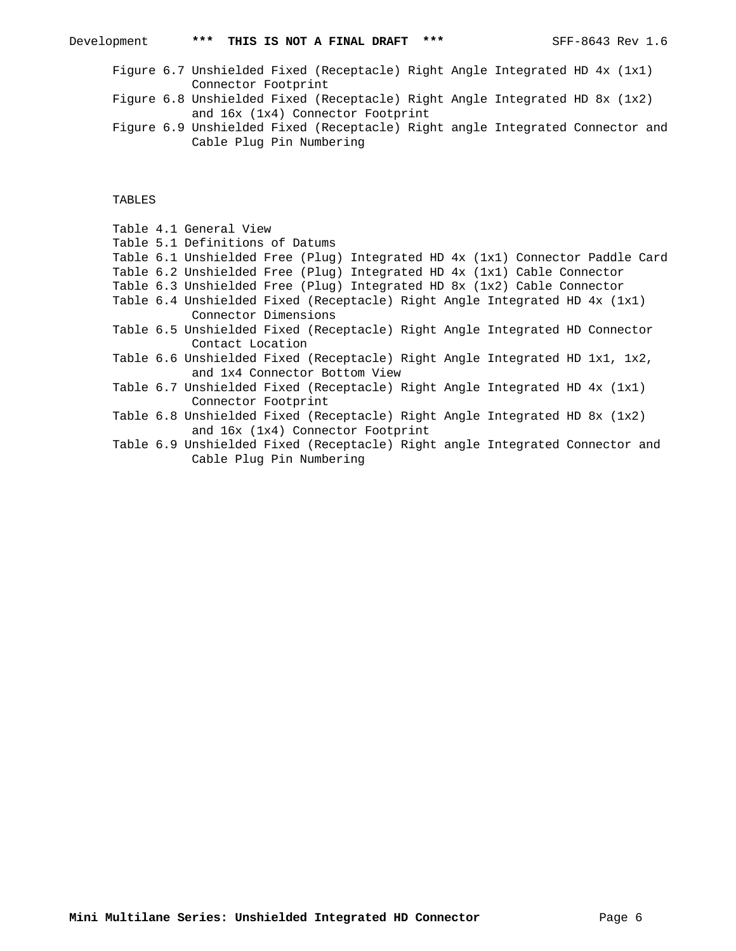| Development | *** THIS IS NOT A FINAL DRAFT *** |  | SFF-8643 Rev 1.6 |
|-------------|-----------------------------------|--|------------------|
|             |                                   |  |                  |

- Figure 6.7 Unshielded Fixed (Receptacle) Right Angle Integrated HD 4x (1x1) Connector Footprint
- Figure 6.8 Unshielded Fixed (Receptacle) Right Angle Integrated HD 8x (1x2) and 16x (1x4) Connector Footprint
- Figure 6.9 Unshielded Fixed (Receptacle) Right angle Integrated Connector and Cable Plug Pin Numbering

TABLES

|  | Table 4.1 General View                                                        |
|--|-------------------------------------------------------------------------------|
|  | Table 5.1 Definitions of Datums                                               |
|  | Table 6.1 Unshielded Free (Plug) Integrated HD 4x (1x1) Connector Paddle Card |
|  | Table 6.2 Unshielded Free (Plug) Integrated HD 4x (1x1) Cable Connector       |
|  | Table 6.3 Unshielded Free (Plug) Integrated HD 8x (1x2) Cable Connector       |
|  | Table 6.4 Unshielded Fixed (Receptacle) Right Angle Integrated HD 4x (1x1)    |
|  | Connector Dimensions                                                          |
|  | Table 6.5 Unshielded Fixed (Receptacle) Right Angle Integrated HD Connector   |
|  | Contact Location                                                              |
|  | Table 6.6 Unshielded Fixed (Receptacle) Right Angle Integrated HD 1x1, 1x2,   |
|  | and 1x4 Connector Bottom View                                                 |
|  | Table 6.7 Unshielded Fixed (Receptacle) Right Angle Integrated HD $4x$ (1x1)  |
|  | Connector Footprint                                                           |
|  | Table 6.8 Unshielded Fixed (Receptacle) Right Angle Integrated HD 8x (1x2)    |
|  | and 16x (1x4) Connector Footprint                                             |
|  | Table 6.9 Unshielded Fixed (Receptacle) Right angle Integrated Connector and  |
|  | Cable Plug Pin Numbering                                                      |
|  |                                                                               |

**Mini Multilane Series: Unshielded Integrated HD Connector** Page 6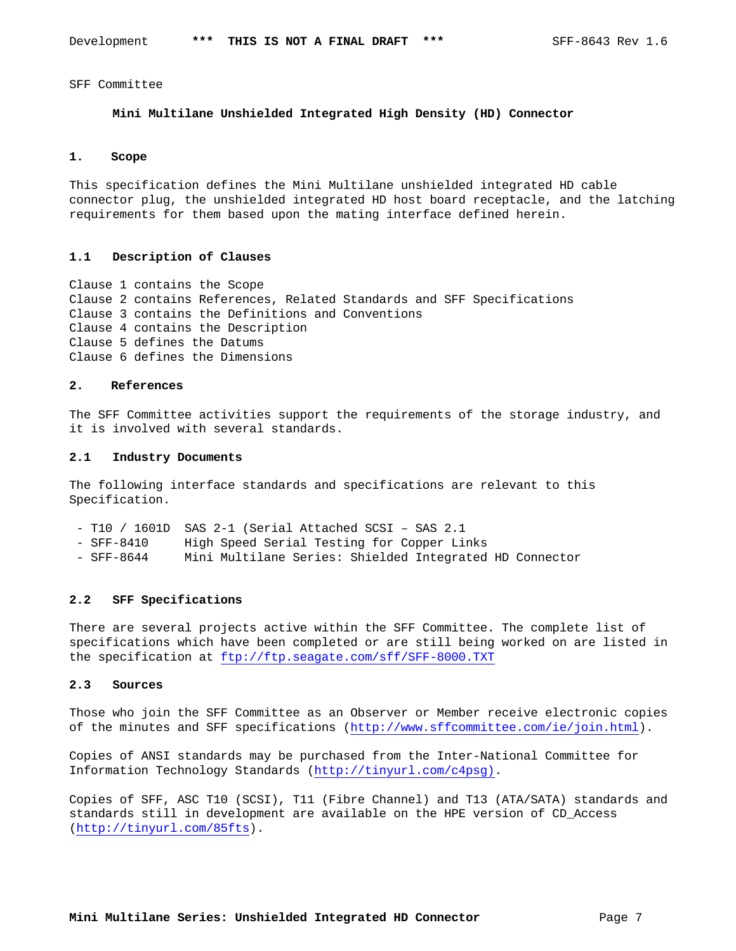SFF Committee

### **Mini Multilane Unshielded Integrated High Density (HD) Connector**

### **1. Scope**

This specification defines the Mini Multilane unshielded integrated HD cable connector plug, the unshielded integrated HD host board receptacle, and the latching requirements for them based upon the mating interface defined herein.

#### **1.1 Description of Clauses**

Clause 1 contains the Scope Clause 2 contains References, Related Standards and SFF Specifications Clause 3 contains the Definitions and Conventions Clause 4 contains the Description Clause 5 defines the Datums Clause 6 defines the Dimensions

#### **2. References**

The SFF Committee activities support the requirements of the storage industry, and it is involved with several standards.

#### **2.1 Industry Documents**

The following interface standards and specifications are relevant to this Specification.

- T10 / 1601D SAS 2-1 (Serial Attached SCSI SAS 2.1
- SFF-8410 High Speed Serial Testing for Copper Links
- SFF-8644 Mini Multilane Series: Shielded Integrated HD Connector

## **2.2 SFF Specifications**

There are several projects active within the SFF Committee. The complete list of specifications which have been completed or are still being worked on are listed in the specification at ftp://ftp.seagate.com/sff/SFF-8000.TXT

### **2.3 Sources**

Those who join the SFF Committee as an Observer or Member receive electronic copies of the minutes and SFF specifications (http://www.sffcommittee.com/ie/join.html).

Copies of ANSI standards may be purchased from the Inter-National Committee for Information Technology Standards (http://tinyurl.com/c4psg).

Copies of SFF, ASC T10 (SCSI), T11 (Fibre Channel) and T13 (ATA/SATA) standards and standards still in development are available on the HPE version of CD\_Access (http://tinyurl.com/85fts).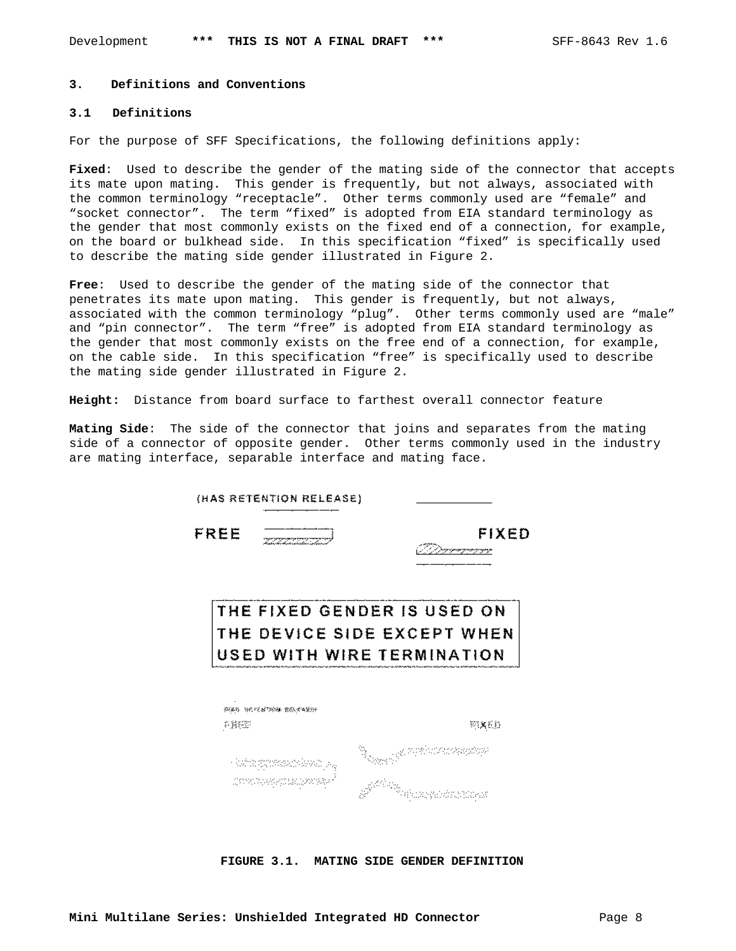#### **3. Definitions and Conventions**

### **3.1 Definitions**

For the purpose of SFF Specifications, the following definitions apply:

**Fixed**: Used to describe the gender of the mating side of the connector that accepts its mate upon mating. This gender is frequently, but not always, associated with the common terminology "receptacle". Other terms commonly used are "female" and "socket connector". The term "fixed" is adopted from EIA standard terminology as the gender that most commonly exists on the fixed end of a connection, for example, on the board or bulkhead side. In this specification "fixed" is specifically used to describe the mating side gender illustrated in Figure 2.

**Free**: Used to describe the gender of the mating side of the connector that penetrates its mate upon mating. This gender is frequently, but not always, associated with the common terminology "plug". Other terms commonly used are "male" and "pin connector". The term "free" is adopted from EIA standard terminology as the gender that most commonly exists on the free end of a connection, for example, on the cable side. In this specification "free" is specifically used to describe the mating side gender illustrated in Figure 2.

**Height:** Distance from board surface to farthest overall connector feature

**Mating Side**: The side of the connector that joins and separates from the mating side of a connector of opposite gender. Other terms commonly used in the industry are mating interface, separable interface and mating face.

| (HAS RETENTION RELEASE)<br>FREE | FIXED                       |
|---------------------------------|-----------------------------|
|                                 | <u>a kalendari da da ka</u> |
|                                 |                             |
|                                 | THE FIXED GENDER IS USED ON |
|                                 |                             |
|                                 | THE DEVICE SIDE EXCEPT WHEN |
|                                 | USED WITH WIRE TERMINATION  |
|                                 |                             |
| 弹弹的 医巴特希特伦肌 医原因内障的              |                             |
| 看護総計                            | 短翼裂缝                        |
|                                 | 2008/02/02/23               |

**FIGURE 3.1. MATING SIDE GENDER DEFINITION**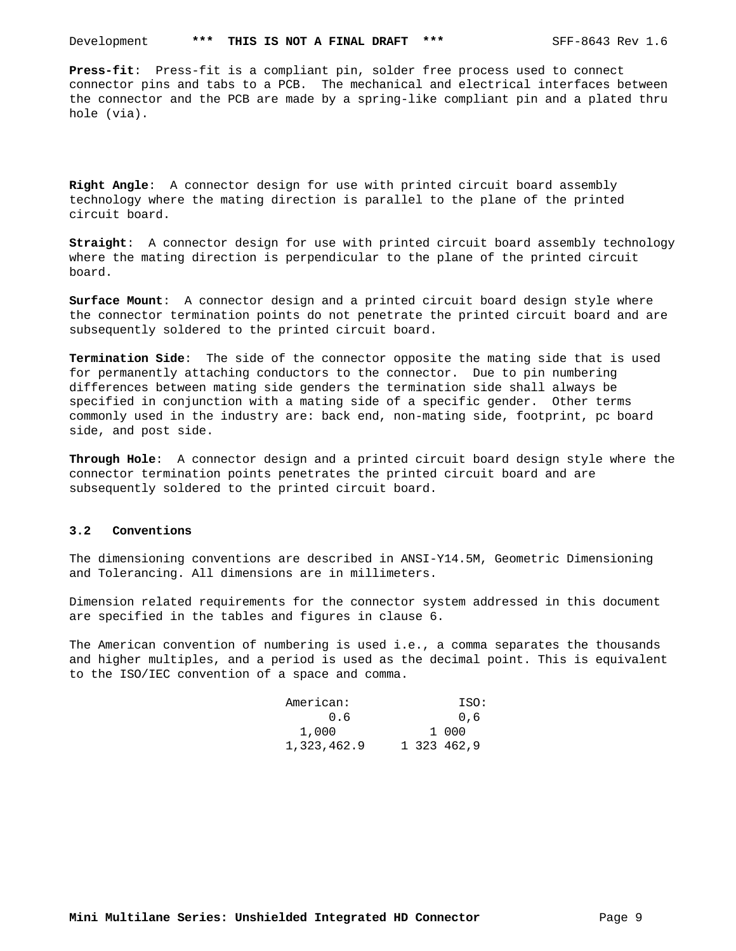**Press-fit**: Press-fit is a compliant pin, solder free process used to connect connector pins and tabs to a PCB. The mechanical and electrical interfaces between the connector and the PCB are made by a spring-like compliant pin and a plated thru hole (via).

**Right Angle**: A connector design for use with printed circuit board assembly technology where the mating direction is parallel to the plane of the printed circuit board.

**Straight**: A connector design for use with printed circuit board assembly technology where the mating direction is perpendicular to the plane of the printed circuit board.

**Surface Mount**: A connector design and a printed circuit board design style where the connector termination points do not penetrate the printed circuit board and are subsequently soldered to the printed circuit board.

**Termination Side**: The side of the connector opposite the mating side that is used for permanently attaching conductors to the connector. Due to pin numbering differences between mating side genders the termination side shall always be specified in conjunction with a mating side of a specific gender. Other terms commonly used in the industry are: back end, non-mating side, footprint, pc board side, and post side.

**Through Hole**: A connector design and a printed circuit board design style where the connector termination points penetrates the printed circuit board and are subsequently soldered to the printed circuit board.

#### **3.2 Conventions**

The dimensioning conventions are described in ANSI-Y14.5M, Geometric Dimensioning and Tolerancing. All dimensions are in millimeters.

Dimension related requirements for the connector system addressed in this document are specified in the tables and figures in clause 6.

The American convention of numbering is used i.e., a comma separates the thousands and higher multiples, and a period is used as the decimal point. This is equivalent to the ISO/IEC convention of a space and comma.

| American:   |  | ISO:        |
|-------------|--|-------------|
| 0.6         |  | 0.6         |
| 1,000       |  | 1000        |
| 1,323,462.9 |  | 1 323 462.9 |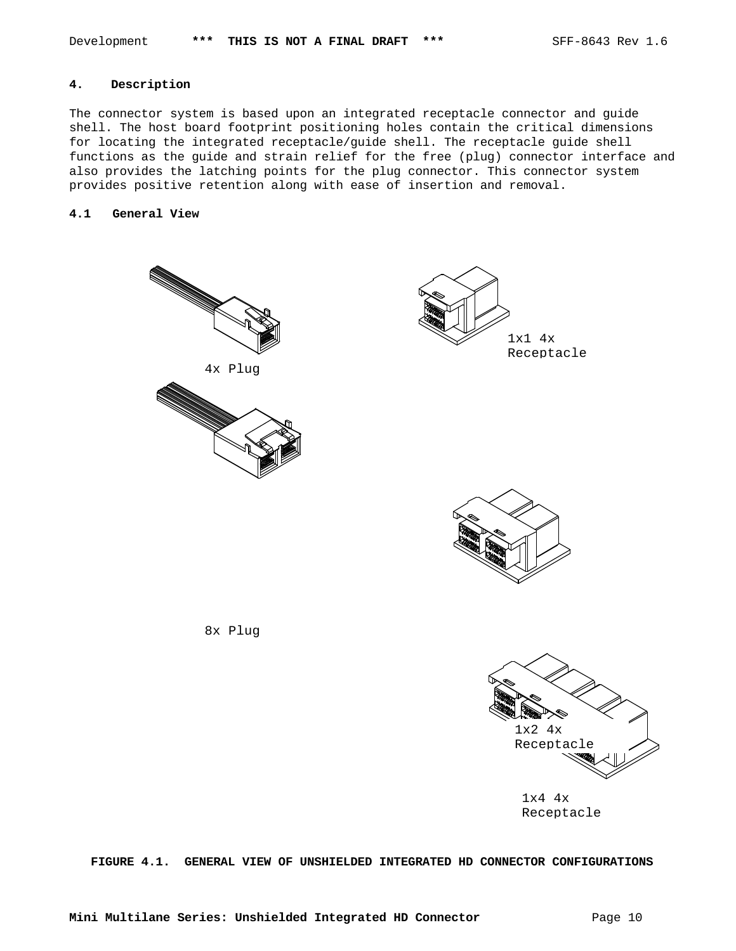## **4. Description**

The connector system is based upon an integrated receptacle connector and guide shell. The host board footprint positioning holes contain the critical dimensions for locating the integrated receptacle/guide shell. The receptacle guide shell functions as the guide and strain relief for the free (plug) connector interface and also provides the latching points for the plug connector. This connector system provides positive retention along with ease of insertion and removal.

## **4.1 General View**







8x Plug



1x4 4x Receptacle

**FIGURE 4.1. GENERAL VIEW OF UNSHIELDED INTEGRATED HD CONNECTOR CONFIGURATIONS**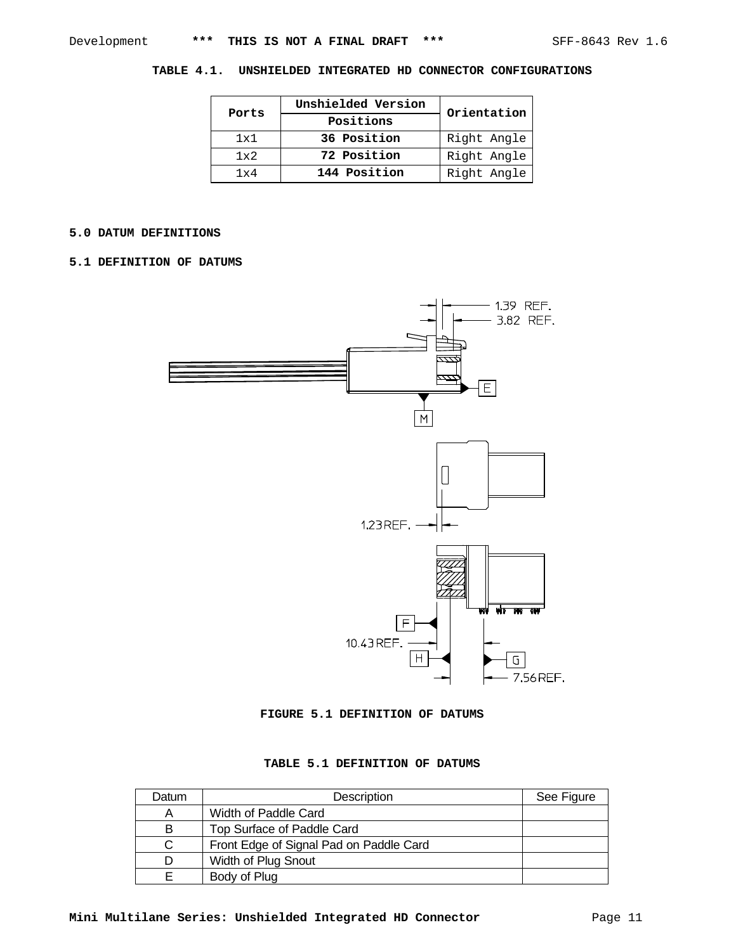## **TABLE 4.1. UNSHIELDED INTEGRATED HD CONNECTOR CONFIGURATIONS**

| Ports | Unshielded Version | Orientation |  |  |
|-------|--------------------|-------------|--|--|
|       | Positions          |             |  |  |
| 1x1   | 36 Position        | Right Angle |  |  |
| 1x2   | 72 Position        | Right Angle |  |  |
| 1x4   | 144 Position       | Right Angle |  |  |

## **5.0 DATUM DEFINITIONS**

## **5.1 DEFINITION OF DATUMS**



**FIGURE 5.1 DEFINITION OF DATUMS**

## **TABLE 5.1 DEFINITION OF DATUMS**

| Datum | Description                             | See Figure |
|-------|-----------------------------------------|------------|
| Α     | Width of Paddle Card                    |            |
| в     | Top Surface of Paddle Card              |            |
|       | Front Edge of Signal Pad on Paddle Card |            |
|       | Width of Plug Snout                     |            |
|       | Body of Plug                            |            |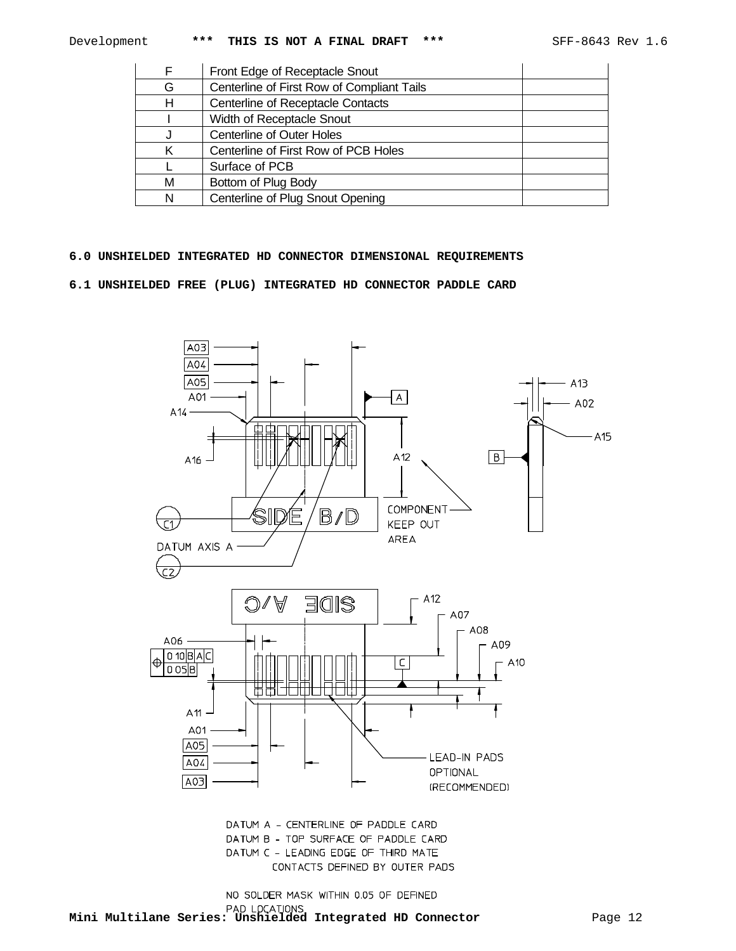|   | Front Edge of Receptacle Snout             |
|---|--------------------------------------------|
| G | Centerline of First Row of Compliant Tails |
| н | <b>Centerline of Receptacle Contacts</b>   |
|   | Width of Receptacle Snout                  |
|   | <b>Centerline of Outer Holes</b>           |
|   | Centerline of First Row of PCB Holes       |
|   | Surface of PCB                             |
| м | Bottom of Plug Body                        |
| N | Centerline of Plug Snout Opening           |

## **6.0 UNSHIELDED INTEGRATED HD CONNECTOR DIMENSIONAL REQUIREMENTS**

**6.1 UNSHIELDED FREE (PLUG) INTEGRATED HD CONNECTOR PADDLE CARD**



DATUM A - CENTERLINE OF PADDLE CARD DATUM B - TOP SURFACE OF PADDLE CARD DATUM C - LEADING EDGE OF THIRD MATE CONTACTS DEFINED BY OUTER PADS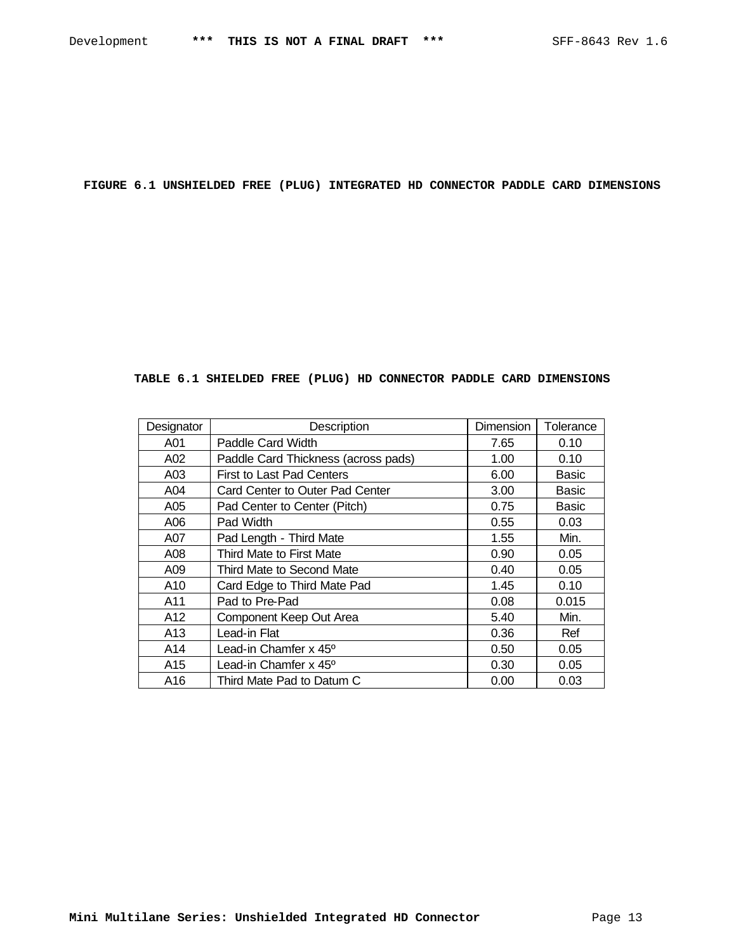**FIGURE 6.1 UNSHIELDED FREE (PLUG) INTEGRATED HD CONNECTOR PADDLE CARD DIMENSIONS**

# **TABLE 6.1 SHIELDED FREE (PLUG) HD CONNECTOR PADDLE CARD DIMENSIONS**

| Designator | Description                         | Dimension | Tolerance    |
|------------|-------------------------------------|-----------|--------------|
| A01        | Paddle Card Width                   | 7.65      | 0.10         |
| A02        | Paddle Card Thickness (across pads) | 1.00      | 0.10         |
| A03        | <b>First to Last Pad Centers</b>    | 6.00      | Basic        |
| A04        | Card Center to Outer Pad Center     | 3.00      | Basic        |
| A05        | Pad Center to Center (Pitch)        | 0.75      | <b>Basic</b> |
| A06        | Pad Width                           | 0.55      | 0.03         |
| A07        | Pad Length - Third Mate             | 1.55      | Min.         |
| A08        | Third Mate to First Mate            | 0.90      | 0.05         |
| A09        | Third Mate to Second Mate           | 0.40      | 0.05         |
| A10        | Card Edge to Third Mate Pad         | 1.45      | 0.10         |
| A11        | Pad to Pre-Pad                      | 0.08      | 0.015        |
| A12        | Component Keep Out Area             | 5.40      | Min.         |
| A13        | Lead-in Flat                        | 0.36      | Ref          |
| A14        | Lead-in Chamfer x 45 <sup>o</sup>   | 0.50      | 0.05         |
| A15        | Lead-in Chamfer x 45°               | 0.30      | 0.05         |
| A16        | Third Mate Pad to Datum C           | 0.00      | 0.03         |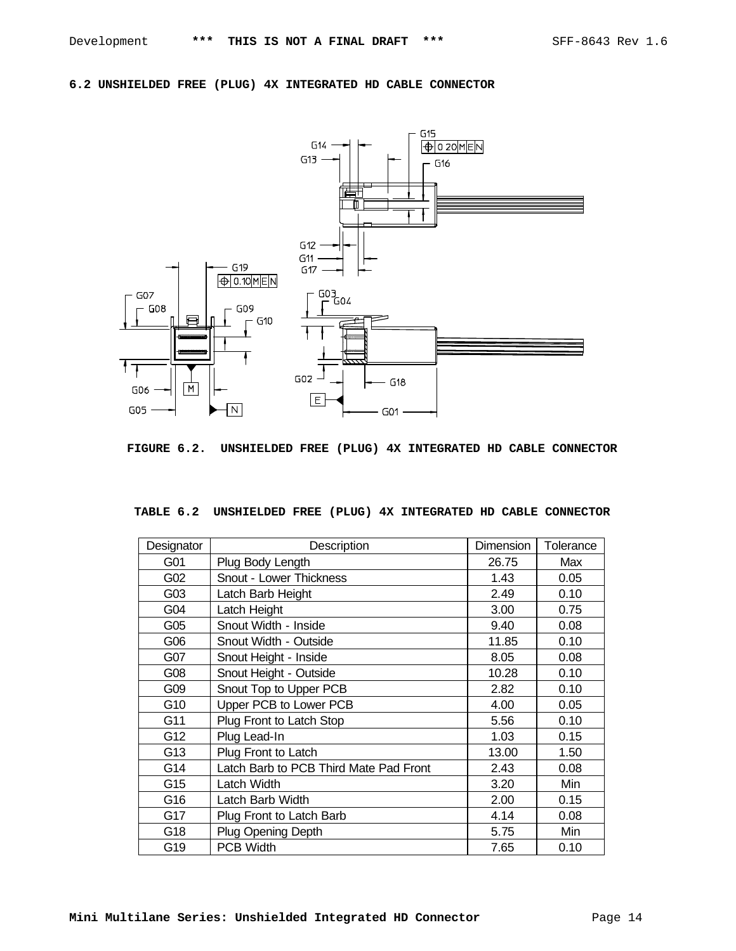## **6.2 UNSHIELDED FREE (PLUG) 4X INTEGRATED HD CABLE CONNECTOR**



**FIGURE 6.2. UNSHIELDED FREE (PLUG) 4X INTEGRATED HD CABLE CONNECTOR**

| TABLE 6.2 UNSHIELDED FREE (PLUG) 4X INTEGRATED HD CABLE CONNECTOR |  |  |  |  |
|-------------------------------------------------------------------|--|--|--|--|

| Designator | Description                            | Dimension | Tolerance |
|------------|----------------------------------------|-----------|-----------|
| G01        | Plug Body Length                       | 26.75     | Max       |
| G02        | <b>Snout - Lower Thickness</b>         | 1.43      | 0.05      |
| G03        | Latch Barb Height                      | 2.49      | 0.10      |
| G04        | Latch Height                           | 3.00      | 0.75      |
| G05        | Snout Width - Inside                   | 9.40      | 0.08      |
| G06        | Snout Width - Outside                  | 11.85     | 0.10      |
| G07        | Snout Height - Inside                  | 8.05      | 0.08      |
| G08        | Snout Height - Outside                 | 10.28     | 0.10      |
| G09        | Snout Top to Upper PCB                 | 2.82      | 0.10      |
| G10        | Upper PCB to Lower PCB                 | 4.00      | 0.05      |
| G11        | Plug Front to Latch Stop               | 5.56      | 0.10      |
| G12        | Plug Lead-In                           | 1.03      | 0.15      |
| G13        | Plug Front to Latch                    | 13.00     | 1.50      |
| G14        | Latch Barb to PCB Third Mate Pad Front | 2.43      | 0.08      |
| G15        | Latch Width                            | 3.20      | Min       |
| G16        | Latch Barb Width                       | 2.00      | 0.15      |
| G17        | Plug Front to Latch Barb               | 4.14      | 0.08      |
| G18        | <b>Plug Opening Depth</b>              | 5.75      | Min       |
| G19        | <b>PCB Width</b>                       | 7.65      | 0.10      |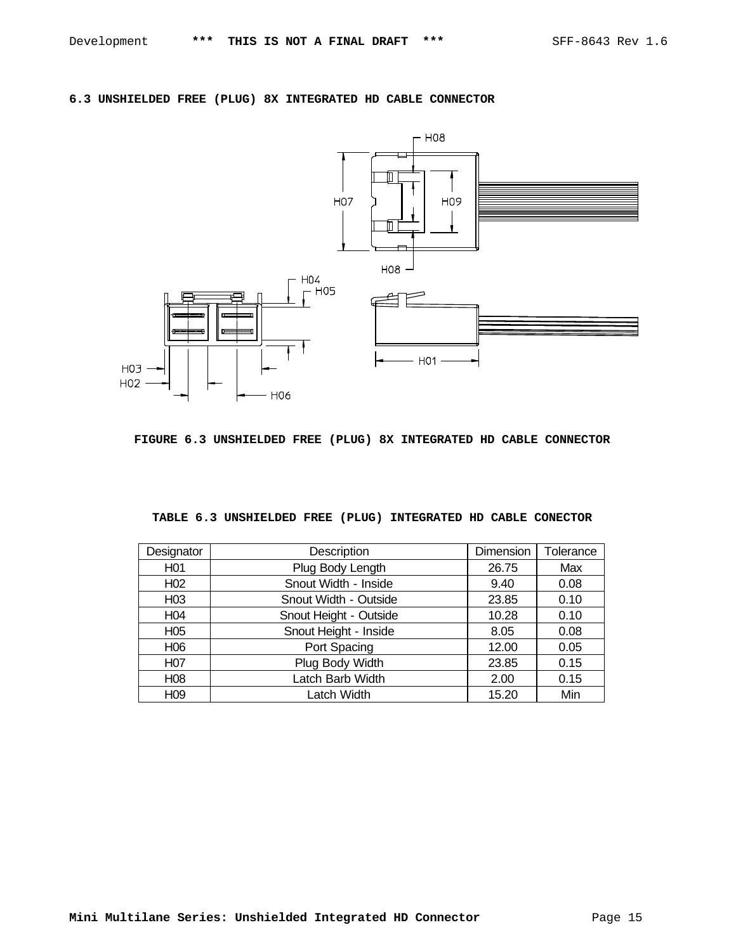# **6.3 UNSHIELDED FREE (PLUG) 8X INTEGRATED HD CABLE CONNECTOR**



**FIGURE 6.3 UNSHIELDED FREE (PLUG) 8X INTEGRATED HD CABLE CONNECTOR**

|  | TABLE 6.3 UNSHIELDED FREE (PLUG) INTEGRATED HD CABLE CONECTOR |  |  |  |
|--|---------------------------------------------------------------|--|--|--|

| Designator       | Description            | Dimension | Tolerance |
|------------------|------------------------|-----------|-----------|
| H <sub>01</sub>  | Plug Body Length       | 26.75     | Max       |
| H <sub>02</sub>  | Snout Width - Inside   | 9.40      | 0.08      |
| H <sub>03</sub>  | Snout Width - Outside  | 23.85     | 0.10      |
| H <sub>04</sub>  | Snout Height - Outside | 10.28     | 0.10      |
| H <sub>05</sub>  | Snout Height - Inside  | 8.05      | 0.08      |
| H <sub>06</sub>  | Port Spacing           | 12.00     | 0.05      |
| H <sub>0</sub> 7 | Plug Body Width        | 23.85     | 0.15      |
| H <sub>08</sub>  | Latch Barb Width       | 2.00      | 0.15      |
| H <sub>09</sub>  | Latch Width            | 15.20     | Min       |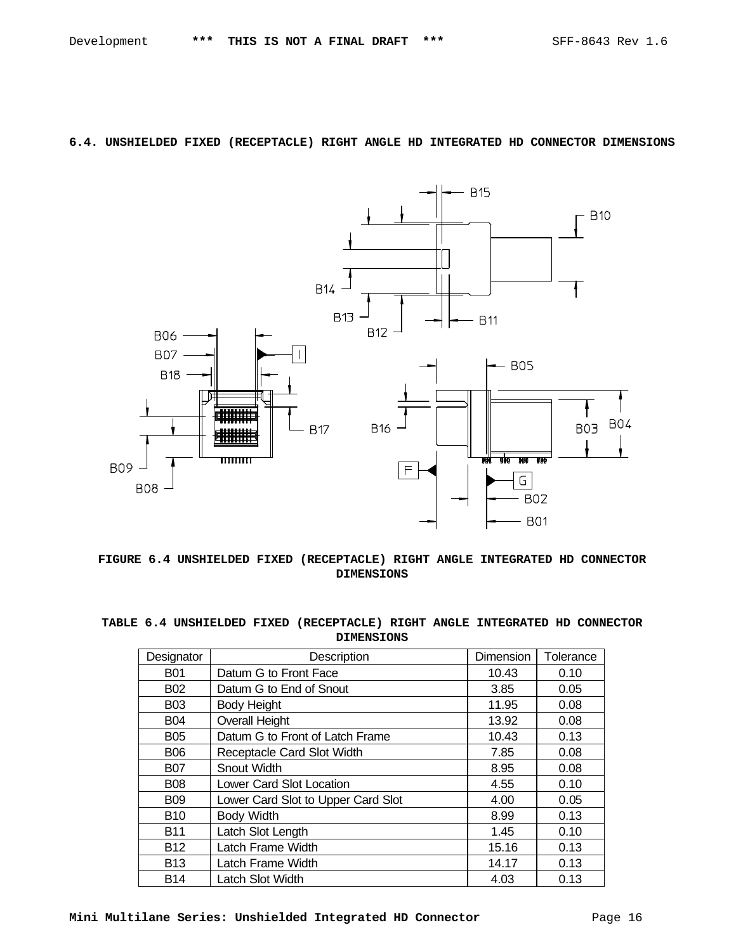# **6.4. UNSHIELDED FIXED (RECEPTACLE) RIGHT ANGLE HD INTEGRATED HD CONNECTOR DIMENSIONS**

![](_page_15_Figure_3.jpeg)

**FIGURE 6.4 UNSHIELDED FIXED (RECEPTACLE) RIGHT ANGLE INTEGRATED HD CONNECTOR DIMENSIONS**

|  |  | TABLE 6.4 UNSHIELDED FIXED (RECEPTACLE) RIGHT ANGLE INTEGRATED HD CONNECTOR |  |  |  |
|--|--|-----------------------------------------------------------------------------|--|--|--|
|  |  | <b>DIMENSIONS</b>                                                           |  |  |  |

| Designator | Description                        | <b>Dimension</b> | Tolerance |
|------------|------------------------------------|------------------|-----------|
| <b>B01</b> | Datum G to Front Face              | 10.43            | 0.10      |
| <b>B02</b> | Datum G to End of Snout            | 3.85             | 0.05      |
| <b>B03</b> | <b>Body Height</b>                 | 11.95            | 0.08      |
| <b>B04</b> | <b>Overall Height</b>              | 13.92            | 0.08      |
| <b>B05</b> | Datum G to Front of Latch Frame    | 10.43            | 0.13      |
| <b>B06</b> | Receptacle Card Slot Width         | 7.85             | 0.08      |
| <b>B07</b> | Snout Width                        | 8.95             | 0.08      |
| <b>B08</b> | <b>Lower Card Slot Location</b>    | 4.55             | 0.10      |
| <b>B09</b> | Lower Card Slot to Upper Card Slot | 4.00             | 0.05      |
| <b>B10</b> | <b>Body Width</b>                  | 8.99             | 0.13      |
| <b>B11</b> | Latch Slot Length                  | 1.45             | 0.10      |
| <b>B12</b> | Latch Frame Width                  | 15.16            | 0.13      |
| <b>B13</b> | Latch Frame Width                  | 14.17            | 0.13      |
| <b>B14</b> | Latch Slot Width                   | 4.03             | 0.13      |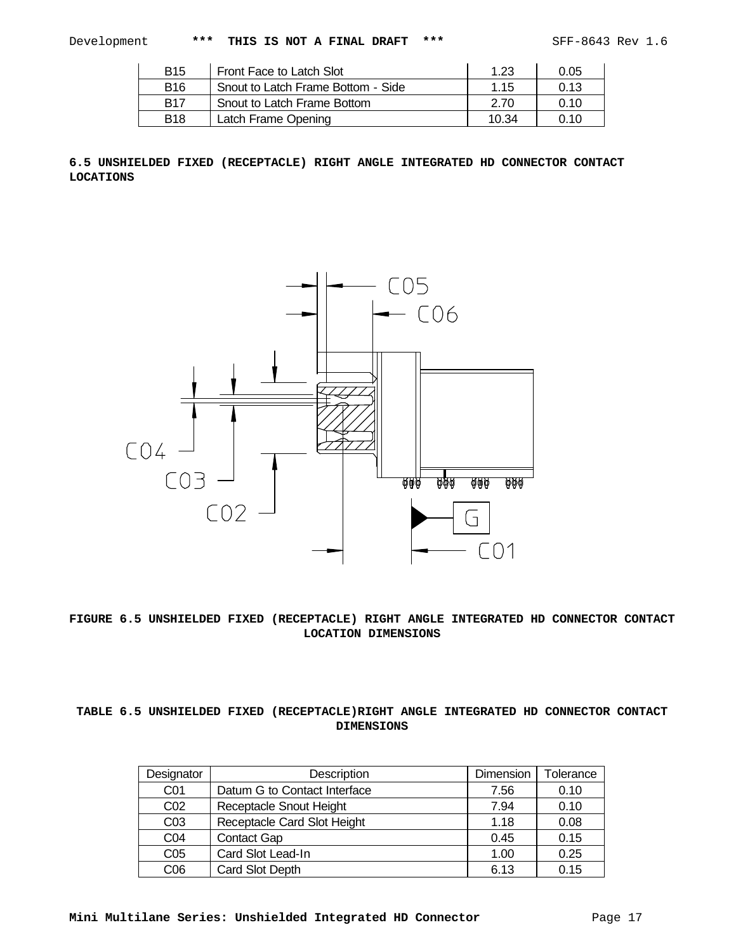| <b>B15</b> | Front Face to Latch Slot           | 1.23  | 0.05 |
|------------|------------------------------------|-------|------|
| <b>B16</b> | Snout to Latch Frame Bottom - Side | 1.15  | 0 13 |
| <b>B17</b> | Snout to Latch Frame Bottom        | 2.70  | 0.10 |
| <b>B18</b> | Latch Frame Opening                | 10.34 | 0.10 |

**6.5 UNSHIELDED FIXED (RECEPTACLE) RIGHT ANGLE INTEGRATED HD CONNECTOR CONTACT LOCATIONS**

![](_page_16_Figure_5.jpeg)

# **FIGURE 6.5 UNSHIELDED FIXED (RECEPTACLE) RIGHT ANGLE INTEGRATED HD CONNECTOR CONTACT LOCATION DIMENSIONS**

# **TABLE 6.5 UNSHIELDED FIXED (RECEPTACLE)RIGHT ANGLE INTEGRATED HD CONNECTOR CONTACT DIMENSIONS**

| Designator      | Description                  | Dimension | Tolerance |
|-----------------|------------------------------|-----------|-----------|
| CO <sub>1</sub> | Datum G to Contact Interface | 7.56      | 0.10      |
| CO <sub>2</sub> | Receptacle Snout Height      | 7.94      | 0.10      |
| CO <sub>3</sub> | Receptacle Card Slot Height  | 1.18      | 0.08      |
| CO <sub>4</sub> | <b>Contact Gap</b>           | 0.45      | 0.15      |
| C <sub>05</sub> | Card Slot Lead-In            | 1.00      | 0.25      |
| C <sub>06</sub> | Card Slot Depth              | 6.13      | 0.15      |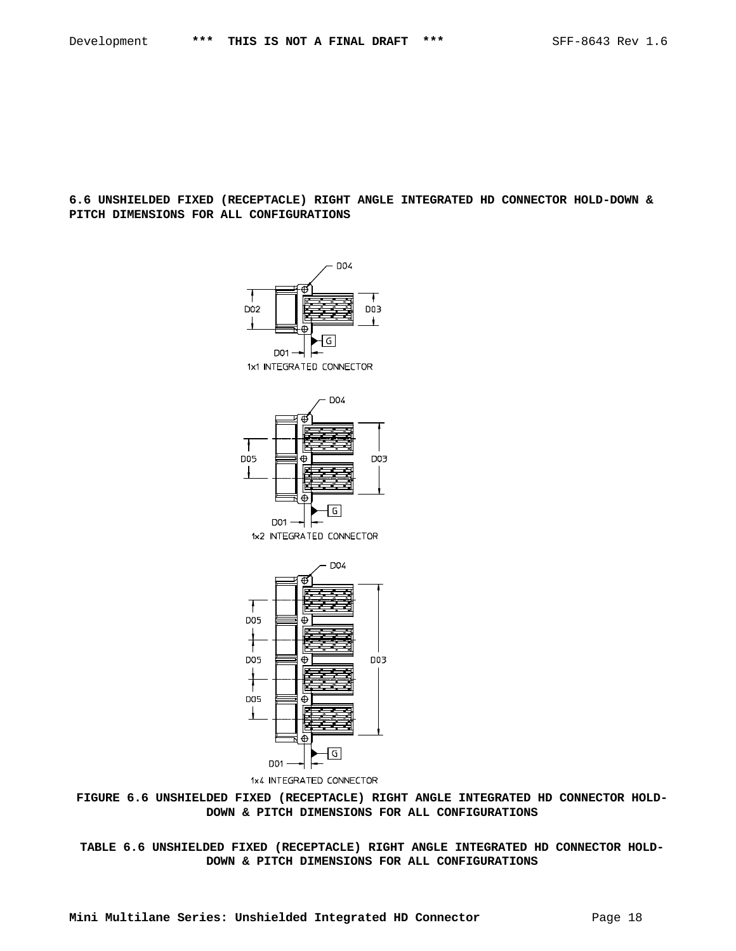## **6.6 UNSHIELDED FIXED (RECEPTACLE) RIGHT ANGLE INTEGRATED HD CONNECTOR HOLD-DOWN & PITCH DIMENSIONS FOR ALL CONFIGURATIONS**

![](_page_17_Figure_3.jpeg)

![](_page_17_Figure_4.jpeg)

1x2 INTEGRATED CONNECTOR

![](_page_17_Figure_6.jpeg)

1x4 INTEGRATED CONNECTOR

**FIGURE 6.6 UNSHIELDED FIXED (RECEPTACLE) RIGHT ANGLE INTEGRATED HD CONNECTOR HOLD-DOWN & PITCH DIMENSIONS FOR ALL CONFIGURATIONS**

**TABLE 6.6 UNSHIELDED FIXED (RECEPTACLE) RIGHT ANGLE INTEGRATED HD CONNECTOR HOLD-DOWN & PITCH DIMENSIONS FOR ALL CONFIGURATIONS**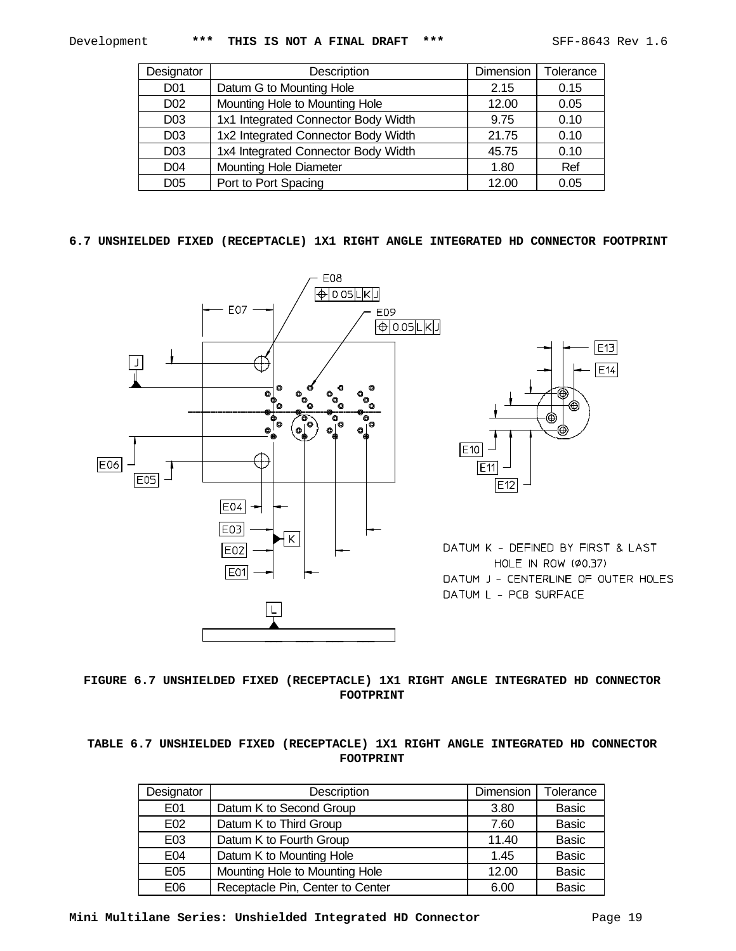$E13$ 

 $E14$ 

| Designator      | Description                         | Dimension | Tolerance |
|-----------------|-------------------------------------|-----------|-----------|
| D <sub>01</sub> | Datum G to Mounting Hole            | 2.15      | 0.15      |
| D <sub>02</sub> | Mounting Hole to Mounting Hole      | 12.00     | 0.05      |
| D <sub>03</sub> | 1x1 Integrated Connector Body Width | 9.75      | 0.10      |
| D <sub>03</sub> | 1x2 Integrated Connector Body Width | 21.75     | 0.10      |
| D <sub>03</sub> | 1x4 Integrated Connector Body Width | 45.75     | 0.10      |
| D <sub>04</sub> | <b>Mounting Hole Diameter</b>       | 1.80      | Ref       |
| D <sub>05</sub> | Port to Port Spacing                | 12.00     | 0.05      |

## **6.7 UNSHIELDED FIXED (RECEPTACLE) 1X1 RIGHT ANGLE INTEGRATED HD CONNECTOR FOOTPRINT**

![](_page_18_Figure_5.jpeg)

**FIGURE 6.7 UNSHIELDED FIXED (RECEPTACLE) 1X1 RIGHT ANGLE INTEGRATED HD CONNECTOR FOOTPRINT**

# **TABLE 6.7 UNSHIELDED FIXED (RECEPTACLE) 1X1 RIGHT ANGLE INTEGRATED HD CONNECTOR FOOTPRINT**

| Designator | Description                      | Dimension | Tolerance    |
|------------|----------------------------------|-----------|--------------|
| E01        | Datum K to Second Group          | 3.80      | <b>Basic</b> |
| E02        | Datum K to Third Group           | 7.60      | <b>Basic</b> |
| E03        | Datum K to Fourth Group          | 11.40     | <b>Basic</b> |
| E04        | Datum K to Mounting Hole         | 1.45      | <b>Basic</b> |
| E05        | Mounting Hole to Mounting Hole   | 12.00     | <b>Basic</b> |
| E06        | Receptacle Pin, Center to Center | 6.00      | <b>Basic</b> |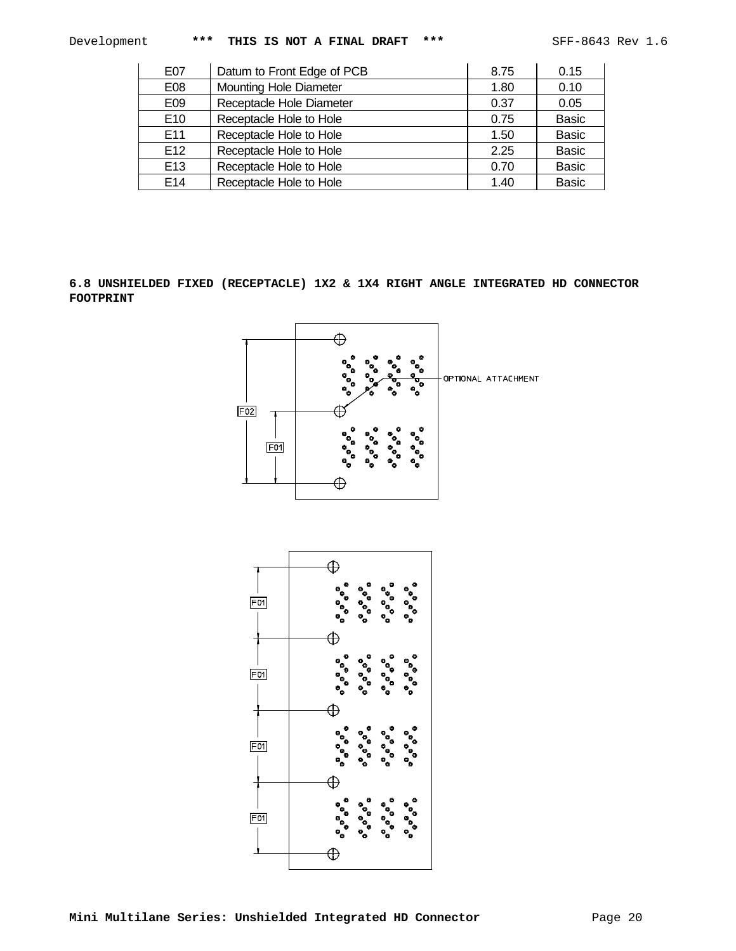| E07             | Datum to Front Edge of PCB    | 8.75 | 0.15         |
|-----------------|-------------------------------|------|--------------|
| E08             | <b>Mounting Hole Diameter</b> | 1.80 | 0.10         |
| E09             | Receptacle Hole Diameter      | 0.37 | 0.05         |
| E <sub>10</sub> | Receptacle Hole to Hole       | 0.75 | <b>Basic</b> |
| E <sub>11</sub> | Receptacle Hole to Hole       | 1.50 | <b>Basic</b> |
| E <sub>12</sub> | Receptacle Hole to Hole       | 2.25 | <b>Basic</b> |
| E <sub>13</sub> | Receptacle Hole to Hole       | 0.70 | <b>Basic</b> |
| F <sub>14</sub> | Receptacle Hole to Hole       | 1.40 | <b>Basic</b> |

**6.8 UNSHIELDED FIXED (RECEPTACLE) 1X2 & 1X4 RIGHT ANGLE INTEGRATED HD CONNECTOR FOOTPRINT**

![](_page_19_Figure_5.jpeg)